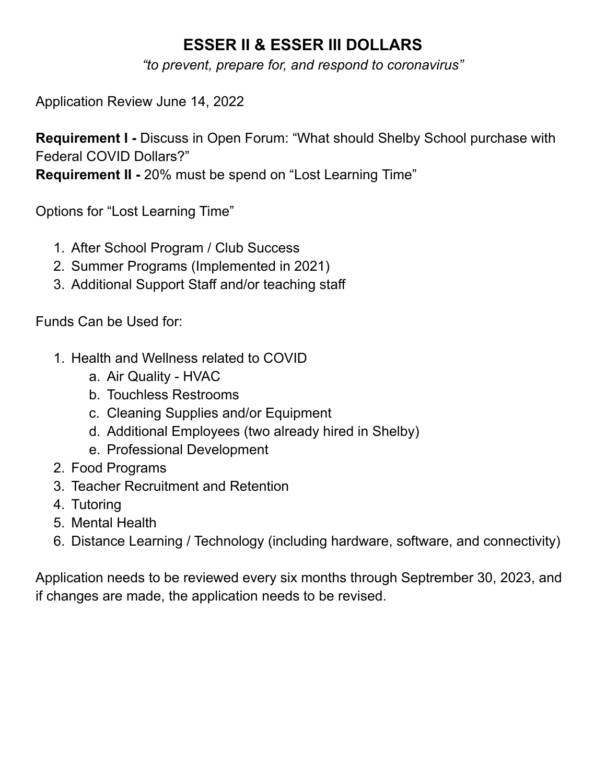## **ESSER II & ESSER III DOLLARS**

*"to prevent, prepare for, and respond to coronavirus"*

Application Review June 14, 2022

**Requirement I -** Discuss in Open Forum: "What should Shelby School purchase with Federal COVID Dollars?"

**Requirement II -** 20% must be spend on "Lost Learning Time"

Options for "Lost Learning Time"

- 1. After School Program / Club Success
- 2. Summer Programs (Implemented in 2021)
- 3. Additional Support Staff and/or teaching staff

Funds Can be Used for:

- 1. Health and Wellness related to COVID
	- a. Air Quality HVAC
	- b. Touchless Restrooms
	- c. Cleaning Supplies and/or Equipment
	- d. Additional Employees (two already hired in Shelby)
	- e. Professional Development
- 2. Food Programs
- 3. Teacher Recruitment and Retention
- 4. Tutoring
- 5. Mental Health
- 6. Distance Learning / Technology (including hardware, software, and connectivity)

Application needs to be reviewed every six months through Septrember 30, 2023, and if changes are made, the application needs to be revised.